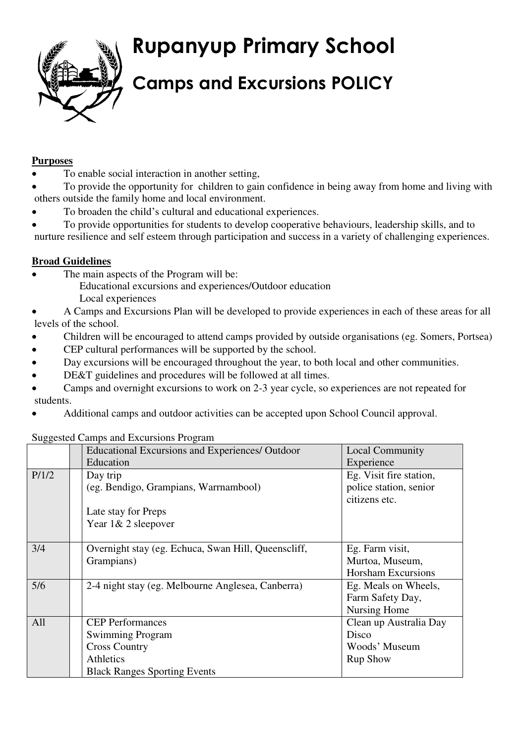**Rupanyup Primary School**



# **Camps and Excursions POLICY**

## **Purposes**

- To enable social interaction in another setting,
- To provide the opportunity for children to gain confidence in being away from home and living with others outside the family home and local environment.
- To broaden the child's cultural and educational experiences.
- To provide opportunities for students to develop cooperative behaviours, leadership skills, and to

nurture resilience and self esteem through participation and success in a variety of challenging experiences.

## **Broad Guidelines**

- The main aspects of the Program will be:
	- Educational excursions and experiences/Outdoor education Local experiences

 A Camps and Excursions Plan will be developed to provide experiences in each of these areas for all levels of the school.

- Children will be encouraged to attend camps provided by outside organisations (eg. Somers, Portsea)
- CEP cultural performances will be supported by the school.
- Day excursions will be encouraged throughout the year, to both local and other communities.
- DE&T guidelines and procedures will be followed at all times.
- Camps and overnight excursions to work on 2-3 year cycle, so experiences are not repeated for students.
- Additional camps and outdoor activities can be accepted upon School Council approval.

#### Suggested Camps and Excursions Program

|       | <b>Educational Excursions and Experiences/ Outdoor</b> | <b>Local Community</b>    |
|-------|--------------------------------------------------------|---------------------------|
|       | Education                                              | Experience                |
| P/1/2 | Day trip                                               | Eg. Visit fire station,   |
|       | (eg. Bendigo, Grampians, Warrnambool)                  | police station, senior    |
|       |                                                        | citizens etc.             |
|       | Late stay for Preps                                    |                           |
|       | Year 1& 2 sleepover                                    |                           |
|       |                                                        |                           |
| 3/4   | Overnight stay (eg. Echuca, Swan Hill, Queenscliff,    | Eg. Farm visit,           |
|       | Grampians)                                             | Murtoa, Museum,           |
|       |                                                        | <b>Horsham Excursions</b> |
| 5/6   | 2-4 night stay (eg. Melbourne Anglesea, Canberra)      | Eg. Meals on Wheels,      |
|       |                                                        | Farm Safety Day,          |
|       |                                                        | Nursing Home              |
| All   | <b>CEP</b> Performances                                | Clean up Australia Day    |
|       | <b>Swimming Program</b>                                | Disco                     |
|       | <b>Cross Country</b>                                   | Woods' Museum             |
|       | <b>Athletics</b>                                       | <b>Rup Show</b>           |
|       | <b>Black Ranges Sporting Events</b>                    |                           |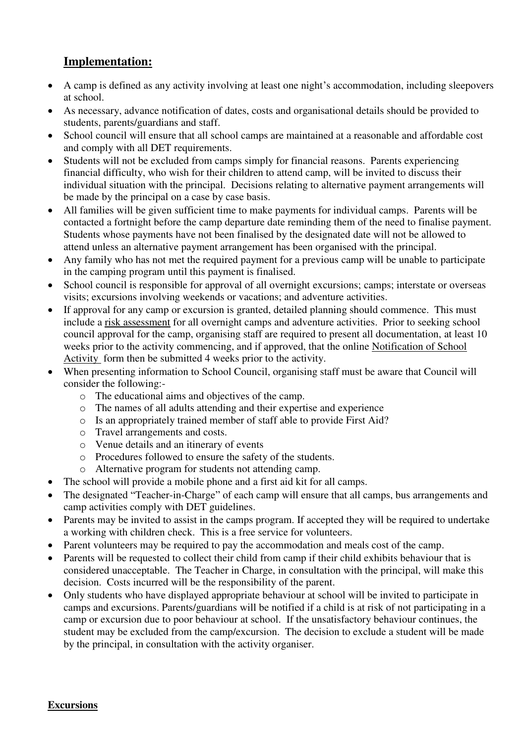# **Implementation:**

- A camp is defined as any activity involving at least one night's accommodation, including sleepovers at school.
- As necessary, advance notification of dates, costs and organisational details should be provided to students, parents/guardians and staff.
- School council will ensure that all school camps are maintained at a reasonable and affordable cost and comply with all DET requirements.
- Students will not be excluded from camps simply for financial reasons. Parents experiencing financial difficulty, who wish for their children to attend camp, will be invited to discuss their individual situation with the principal. Decisions relating to alternative payment arrangements will be made by the principal on a case by case basis.
- All families will be given sufficient time to make payments for individual camps. Parents will be contacted a fortnight before the camp departure date reminding them of the need to finalise payment. Students whose payments have not been finalised by the designated date will not be allowed to attend unless an alternative payment arrangement has been organised with the principal.
- Any family who has not met the required payment for a previous camp will be unable to participate in the camping program until this payment is finalised.
- School council is responsible for approval of all overnight excursions; camps; interstate or overseas visits; excursions involving weekends or vacations; and adventure activities.
- If approval for any camp or excursion is granted, detailed planning should commence. This must include a risk assessment for all overnight camps and adventure activities. Prior to seeking school council approval for the camp, organising staff are required to present all documentation, at least 10 weeks prior to the activity commencing, and if approved, that the online Notification of School Activity form then be submitted 4 weeks prior to the activity.
- When presenting information to School Council, organising staff must be aware that Council will consider the following:
	- o The educational aims and objectives of the camp.
	- o The names of all adults attending and their expertise and experience
	- o Is an appropriately trained member of staff able to provide First Aid?
	- o Travel arrangements and costs.
	- o Venue details and an itinerary of events
	- o Procedures followed to ensure the safety of the students.
	- o Alternative program for students not attending camp.
- The school will provide a mobile phone and a first aid kit for all camps.
- The designated "Teacher-in-Charge" of each camp will ensure that all camps, bus arrangements and camp activities comply with DET guidelines.
- Parents may be invited to assist in the camps program. If accepted they will be required to undertake a working with children check. This is a free service for volunteers.
- Parent volunteers may be required to pay the accommodation and meals cost of the camp.
- Parents will be requested to collect their child from camp if their child exhibits behaviour that is considered unacceptable. The Teacher in Charge, in consultation with the principal, will make this decision. Costs incurred will be the responsibility of the parent.
- Only students who have displayed appropriate behaviour at school will be invited to participate in camps and excursions. Parents/guardians will be notified if a child is at risk of not participating in a camp or excursion due to poor behaviour at school. If the unsatisfactory behaviour continues, the student may be excluded from the camp/excursion. The decision to exclude a student will be made by the principal, in consultation with the activity organiser.